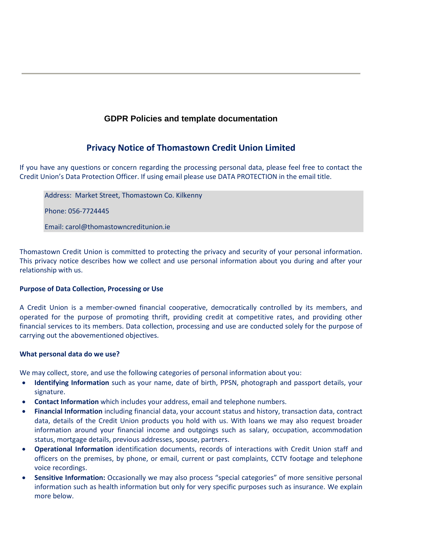# **GDPR Policies and template documentation**

# **Privacy Notice of Thomastown Credit Union Limited**

If you have any questions or concern regarding the processing personal data, please feel free to contact the Credit Union's Data Protection Officer. If using email please use DATA PROTECTION in the email title.

Address: Market Street, Thomastown Co. Kilkenny

Phone: 056-7724445

Email: carol@thomastowncreditunion.ie

Thomastown Credit Union is committed to protecting the privacy and security of your personal information. This privacy notice describes how we collect and use personal information about you during and after your relationship with us.

# **Purpose of Data Collection, Processing or Use**

A Credit Union is a member-owned financial cooperative, democratically controlled by its members, and operated for the purpose of promoting thrift, providing credit at competitive rates, and providing other financial services to its members. Data collection, processing and use are conducted solely for the purpose of carrying out the abovementioned objectives.

# **What personal data do we use?**

We may collect, store, and use the following categories of personal information about you:

- **Identifying Information** such as your name, date of birth, PPSN, photograph and passport details, your signature.
- **Contact Information** which includes your address, email and telephone numbers.
- **Financial Information** including financial data, your account status and history, transaction data, contract data, details of the Credit Union products you hold with us. With loans we may also request broader information around your financial income and outgoings such as salary, occupation, accommodation status, mortgage details, previous addresses, spouse, partners.
- **Operational Information** identification documents, records of interactions with Credit Union staff and officers on the premises, by phone, or email, current or past complaints, CCTV footage and telephone voice recordings.
- **Sensitive Information:** Occasionally we may also process "special categories" of more sensitive personal information such as health information but only for very specific purposes such as insurance. We explain more below.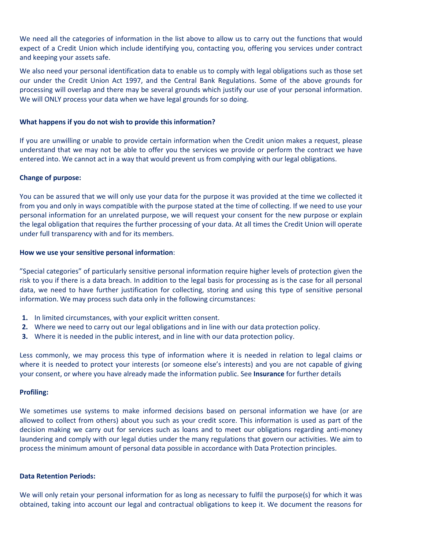We need all the categories of information in the list above to allow us to carry out the functions that would expect of a Credit Union which include identifying you, contacting you, offering you services under contract and keeping your assets safe.

We also need your personal identification data to enable us to comply with legal obligations such as those set our under the Credit Union Act 1997, and the Central Bank Regulations. Some of the above grounds for processing will overlap and there may be several grounds which justify our use of your personal information. We will ONLY process your data when we have legal grounds for so doing.

### **What happens if you do not wish to provide this information?**

If you are unwilling or unable to provide certain information when the Credit union makes a request, please understand that we may not be able to offer you the services we provide or perform the contract we have entered into. We cannot act in a way that would prevent us from complying with our legal obligations.

### **Change of purpose:**

You can be assured that we will only use your data for the purpose it was provided at the time we collected it from you and only in ways compatible with the purpose stated at the time of collecting. If we need to use your personal information for an unrelated purpose, we will request your consent for the new purpose or explain the legal obligation that requires the further processing of your data. At all times the Credit Union will operate under full transparency with and for its members.

### **How we use your sensitive personal information**:

"Special categories" of particularly sensitive personal information require higher levels of protection given the risk to you if there is a data breach. In addition to the legal basis for processing as is the case for all personal data, we need to have further justification for collecting, storing and using this type of sensitive personal information. We may process such data only in the following circumstances:

- **1.** In limited circumstances, with your explicit written consent.
- **2.** Where we need to carry out our legal obligations and in line with our data protection policy.
- **3.** Where it is needed in the public interest, and in line with our data protection policy.

Less commonly, we may process this type of information where it is needed in relation to legal claims or where it is needed to protect your interests (or someone else's interests) and you are not capable of giving your consent, or where you have already made the information public. See **Insurance** for further details

### **Profiling:**

We sometimes use systems to make informed decisions based on personal information we have (or are allowed to collect from others) about you such as your credit score. This information is used as part of the decision making we carry out for services such as loans and to meet our obligations regarding anti-money laundering and comply with our legal duties under the many regulations that govern our activities. We aim to process the minimum amount of personal data possible in accordance with Data Protection principles.

### **Data Retention Periods:**

We will only retain your personal information for as long as necessary to fulfil the purpose(s) for which it was obtained, taking into account our legal and contractual obligations to keep it. We document the reasons for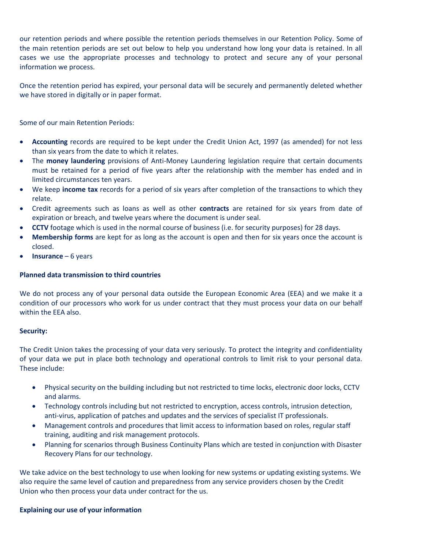our retention periods and where possible the retention periods themselves in our Retention Policy. Some of the main retention periods are set out below to help you understand how long your data is retained. In all cases we use the appropriate processes and technology to protect and secure any of your personal information we process.

Once the retention period has expired, your personal data will be securely and permanently deleted whether we have stored in digitally or in paper format.

Some of our main Retention Periods:

- **Accounting** records are required to be kept under the Credit Union Act, 1997 (as amended) for not less than six years from the date to which it relates.
- The **money laundering** provisions of Anti-Money Laundering legislation require that certain documents must be retained for a period of five years after the relationship with the member has ended and in limited circumstances ten years.
- We keep **income tax** records for a period of six years after completion of the transactions to which they relate.
- Credit agreements such as loans as well as other **contracts** are retained for six years from date of expiration or breach, and twelve years where the document is under seal.
- **CCTV** footage which is used in the normal course of business (i.e. for security purposes) for 28 days.
- **Membership forms** are kept for as long as the account is open and then for six years once the account is closed.
- **Insurance** 6 years

### **Planned data transmission to third countries**

We do not process any of your personal data outside the European Economic Area (EEA) and we make it a condition of our processors who work for us under contract that they must process your data on our behalf within the EEA also.

### **Security:**

The Credit Union takes the processing of your data very seriously. To protect the integrity and confidentiality of your data we put in place both technology and operational controls to limit risk to your personal data. These include:

- Physical security on the building including but not restricted to time locks, electronic door locks, CCTV and alarms.
- Technology controls including but not restricted to encryption, access controls, intrusion detection, anti-virus, application of patches and updates and the services of specialist IT professionals.
- Management controls and procedures that limit access to information based on roles, regular staff training, auditing and risk management protocols.
- Planning for scenarios through Business Continuity Plans which are tested in conjunction with Disaster Recovery Plans for our technology.

We take advice on the best technology to use when looking for new systems or updating existing systems. We also require the same level of caution and preparedness from any service providers chosen by the Credit Union who then process your data under contract for the us.

### **Explaining our use of your information**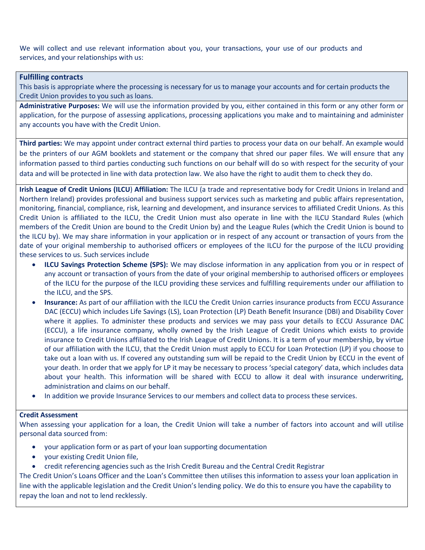We will collect and use relevant information about you, your transactions, your use of our products and services, and your relationships with us:

### **Fulfilling contracts**

This basis is appropriate where the processing is necessary for us to manage your accounts and for certain products the Credit Union provides to you such as loans.

**Administrative Purposes:** We will use the information provided by you, either contained in this form or any other form or application, for the purpose of assessing applications, processing applications you make and to maintaining and administer any accounts you have with the Credit Union.

**Third parties:** We may appoint under contract external third parties to process your data on our behalf. An example would be the printers of our AGM booklets and statement or the company that shred our paper files. We will ensure that any information passed to third parties conducting such functions on our behalf will do so with respect for the security of your data and will be protected in line with data protection law. We also have the right to audit them to check they do.

**Irish League of Credit Unions (ILCU**) **Affiliation:** The ILCU (a trade and representative body for Credit Unions in Ireland and Northern Ireland) provides professional and business support services such as marketing and public affairs representation, monitoring, financial, compliance, risk, learning and development, and insurance services to affiliated Credit Unions. As this Credit Union is affiliated to the ILCU, the Credit Union must also operate in line with the ILCU Standard Rules (which members of the Credit Union are bound to the Credit Union by) and the League Rules (which the Credit Union is bound to the ILCU by). We may share information in your application or in respect of any account or transaction of yours from the date of your original membership to authorised officers or employees of the ILCU for the purpose of the ILCU providing these services to us. Such services include

- **ILCU Savings Protection Scheme (SPS):** We may disclose information in any application from you or in respect of any account or transaction of yours from the date of your original membership to authorised officers or employees of the ILCU for the purpose of the ILCU providing these services and fulfilling requirements under our affiliation to the ILCU, and the SPS.
- **Insurance:** As part of our affiliation with the ILCU the Credit Union carries insurance products from ECCU Assurance DAC (ECCU) which includes Life Savings (LS), Loan Protection (LP) Death Benefit Insurance (DBI) and Disability Cover where it applies. To administer these products and services we may pass your details to ECCU Assurance DAC (ECCU), a life insurance company, wholly owned by the Irish League of Credit Unions which exists to provide insurance to Credit Unions affiliated to the Irish League of Credit Unions. It is a term of your membership, by virtue of our affiliation with the ILCU, that the Credit Union must apply to ECCU for Loan Protection (LP) if you choose to take out a loan with us. If covered any outstanding sum will be repaid to the Credit Union by ECCU in the event of your death. In order that we apply for LP it may be necessary to process 'special category' data, which includes data about your health. This information will be shared with ECCU to allow it deal with insurance underwriting, administration and claims on our behalf.
- In addition we provide Insurance Services to our members and collect data to process these services.

### **Credit Assessment**

When assessing your application for a loan, the Credit Union will take a number of factors into account and will utilise personal data sourced from:

- your application form or as part of your loan supporting documentation
- your existing Credit Union file,
- credit referencing agencies such as the Irish Credit Bureau and the Central Credit Registrar

The Credit Union's Loans Officer and the Loan's Committee then utilises this information to assess your loan application in line with the applicable legislation and the Credit Union's lending policy. We do this to ensure you have the capability to repay the loan and not to lend recklessly.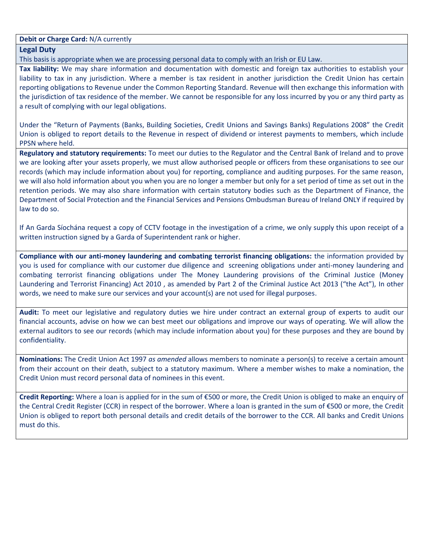**Debit or Charge Card:** N/A currently

### **Legal Duty**

This basis is appropriate when we are processing personal data to comply with an Irish or EU Law.

**Tax liability:** We may share information and documentation with domestic and foreign tax authorities to establish your liability to tax in any jurisdiction. Where a member is tax resident in another jurisdiction the Credit Union has certain reporting obligations to Revenue under the Common Reporting Standard. Revenue will then exchange this information with the jurisdiction of tax residence of the member. We cannot be responsible for any loss incurred by you or any third party as a result of complying with our legal obligations.

Under the "Return of Payments (Banks, Building Societies, Credit Unions and Savings Banks) Regulations 2008" the Credit Union is obliged to report details to the Revenue in respect of dividend or interest payments to members, which include PPSN where held.

**Regulatory and statutory requirements:** To meet our duties to the Regulator and the Central Bank of Ireland and to prove we are looking after your assets properly, we must allow authorised people or officers from these organisations to see our records (which may include information about you) for reporting, compliance and auditing purposes. For the same reason, we will also hold information about you when you are no longer a member but only for a set period of time as set out in the retention periods. We may also share information with certain statutory bodies such as the Department of Finance, the Department of Social Protection and the Financial Services and Pensions Ombudsman Bureau of Ireland ONLY if required by law to do so.

If An Garda Síochána request a copy of CCTV footage in the investigation of a crime, we only supply this upon receipt of a written instruction signed by a Garda of Superintendent rank or higher.

**Compliance with our anti-money laundering and combating terrorist financing obligations:** the information provided by you is used for compliance with our customer due diligence and screening obligations under anti-money laundering and combating terrorist financing obligations under The Money Laundering provisions of the Criminal Justice (Money Laundering and Terrorist Financing) Act 2010 , as amended by Part 2 of the Criminal Justice Act 2013 ("the Act"), In other words, we need to make sure our services and your account(s) are not used for illegal purposes.

**Audit:** To meet our legislative and regulatory duties we hire under contract an external group of experts to audit our financial accounts, advise on how we can best meet our obligations and improve our ways of operating. We will allow the external auditors to see our records (which may include information about you) for these purposes and they are bound by confidentiality.

**Nominations:** The Credit Union Act 1997 *as amended* allows members to nominate a person(s) to receive a certain amount from their account on their death, subject to a statutory maximum. Where a member wishes to make a nomination, the Credit Union must record personal data of nominees in this event.

**Credit Reporting:** Where a loan is applied for in the sum of €500 or more, the Credit Union is obliged to make an enquiry of the Central Credit Register (CCR) in respect of the borrower. Where a loan is granted in the sum of €500 or more, the Credit Union is obliged to report both personal details and credit details of the borrower to the CCR. All banks and Credit Unions must do this.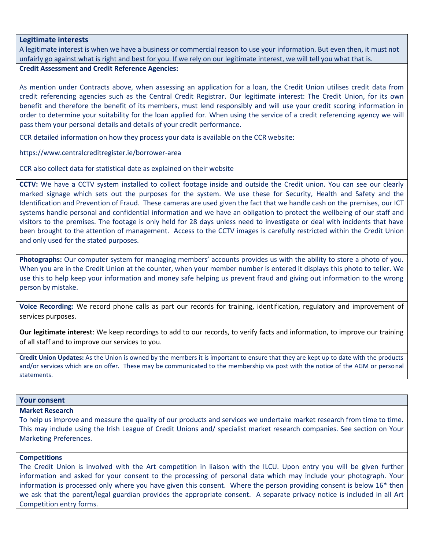### **Legitimate interests**

A legitimate interest is when we have a business or commercial reason to use your information. But even then, it must not unfairly go against what is right and best for you. If we rely on our legitimate interest, we will tell you what that is.

# **Credit Assessment and Credit Reference Agencies:**

As mention under Contracts above, when assessing an application for a loan, the Credit Union utilises credit data from credit referencing agencies such as the Central Credit Registrar. Our legitimate interest: The Credit Union, for its own benefit and therefore the benefit of its members, must lend responsibly and will use your credit scoring information in order to determine your suitability for the loan applied for. When using the service of a credit referencing agency we will pass them your personal details and details of your credit performance.

CCR detailed information on how they process your data is available on the CCR website:

https://www.centralcreditregister.ie/borrower-area

CCR also collect data for statistical date as explained on their website

**CCTV:** We have a CCTV system installed to collect footage inside and outside the Credit union. You can see our clearly marked signage which sets out the purposes for the system. We use these for Security, Health and Safety and the Identification and Prevention of Fraud. These cameras are used given the fact that we handle cash on the premises, our ICT systems handle personal and confidential information and we have an obligation to protect the wellbeing of our staff and visitors to the premises. The footage is only held for 28 days unless need to investigate or deal with incidents that have been brought to the attention of management. Access to the CCTV images is carefully restricted within the Credit Union and only used for the stated purposes.

**Photographs:** Our computer system for managing members' accounts provides us with the ability to store a photo of you. When you are in the Credit Union at the counter, when your member number is entered it displays this photo to teller. We use this to help keep your information and money safe helping us prevent fraud and giving out information to the wrong person by mistake.

**Voice Recording:** We record phone calls as part our records for training, identification, regulatory and improvement of services purposes.

**Our legitimate interest**: We keep recordings to add to our records, to verify facts and information, to improve our training of all staff and to improve our services to you.

**Credit Union Updates:** As the Union is owned by the members it is important to ensure that they are kept up to date with the products and/or services which are on offer. These may be communicated to the membership via post with the notice of the AGM or personal statements.

# **Your consent**

### **Market Research**

To help us improve and measure the quality of our products and services we undertake market research from time to time. This may include using the Irish League of Credit Unions and/ specialist market research companies. See section on Your Marketing Preferences.

### **Competitions**

The Credit Union is involved with the Art competition in liaison with the ILCU. Upon entry you will be given further information and asked for your consent to the processing of personal data which may include your photograph. Your information is processed only where you have given this consent. Where the person providing consent is below 16\* then we ask that the parent/legal guardian provides the appropriate consent. A separate privacy notice is included in all Art Competition entry forms.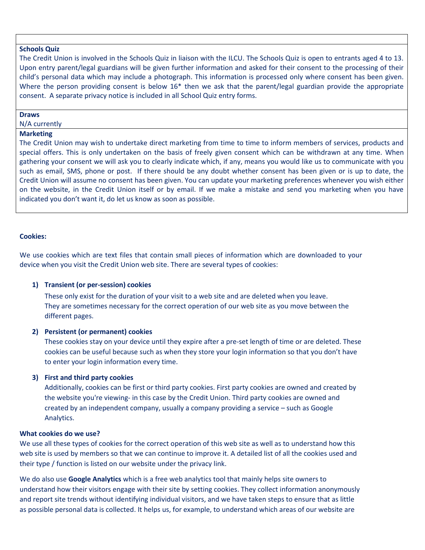### **Schools Quiz**

The Credit Union is involved in the Schools Quiz in liaison with the ILCU. The Schools Quiz is open to entrants aged 4 to 13. Upon entry parent/legal guardians will be given further information and asked for their consent to the processing of their child's personal data which may include a photograph. This information is processed only where consent has been given. Where the person providing consent is below 16<sup>\*</sup> then we ask that the parent/legal guardian provide the appropriate consent. A separate privacy notice is included in all School Quiz entry forms.

#### **Draws**

N/A currently

# **Marketing**

The Credit Union may wish to undertake direct marketing from time to time to inform members of services, products and special offers. This is only undertaken on the basis of freely given consent which can be withdrawn at any time. When gathering your consent we will ask you to clearly indicate which, if any, means you would like us to communicate with you such as email, SMS, phone or post. If there should be any doubt whether consent has been given or is up to date, the Credit Union will assume no consent has been given. You can update your marketing preferences whenever you wish either on the website, in the Credit Union itself or by email. If we make a mistake and send you marketing when you have indicated you don't want it, do let us know as soon as possible.

### **Cookies:**

We use cookies which are text files that contain small pieces of information which are downloaded to your device when you visit the Credit Union web site. There are several types of cookies:

### **1) Transient (or per-session) cookies**

These only exist for the duration of your visit to a web site and are deleted when you leave. They are sometimes necessary for the correct operation of our web site as you move between the different pages.

# **2) Persistent (or permanent) cookies**

These cookies stay on your device until they expire after a pre-set length of time or are deleted. These cookies can be useful because such as when they store your login information so that you don't have to enter your login information every time.

### **3) First and third party cookies**

Additionally, cookies can be first or third party cookies. First party cookies are owned and created by the website you're viewing- in this case by the Credit Union. Third party cookies are owned and created by an independent company, usually a company providing a service – such as Google Analytics.

### **What cookies do we use?**

We use all these types of cookies for the correct operation of this web site as well as to understand how this web site is used by members so that we can continue to improve it. A detailed list of all the cookies used and their type / function is listed on our website under the privacy link.

We do also use **Google Analytics** which is a free web analytics tool that mainly helps site owners to understand how their visitors engage with their site by setting cookies. They collect information anonymously and report site trends without identifying individual visitors, and we have taken steps to ensure that as little as possible personal data is collected. It helps us, for example, to understand which areas of our website are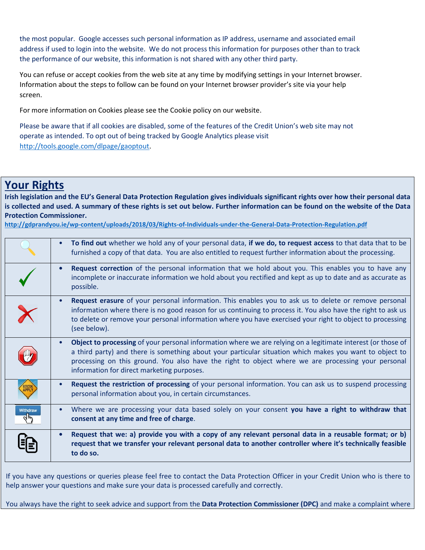the most popular. Google accesses such personal information as IP address, username and associated email address if used to login into the website. We do not process this information for purposes other than to track the performance of our website, this information is not shared with any other third party.

You can refuse or accept cookies from the web site at any time by modifying settings in your Internet browser. Information about the steps to follow can be found on your Internet browser provider's site via your help screen.

For more information on Cookies please see the Cookie policy on our website.

Please be aware that if all cookies are disabled, some of the features of the Credit Union's web site may not operate as intended. To opt out of being tracked by Google Analytics please visit [http://tools.google.com/dlpage/gaoptout.](http://tools.google.com/dlpage/gaoptout)

# **Your Rights**

**Irish legislation and the EU's General Data Protection Regulation gives individuals significant rights over how their personal data is collected and used. A summary of these rights is set out below. Further information can be found on the website of the Data Protection Commissioner.**

**<http://gdprandyou.ie/wp-content/uploads/2018/03/Rights-of-Individuals-under-the-General-Data-Protection-Regulation.pdf>**

|                         | To find out whether we hold any of your personal data, if we do, to request access to that data that to be<br>$\bullet$<br>furnished a copy of that data. You are also entitled to request further information about the processing.                                                                                                                                                     |
|-------------------------|------------------------------------------------------------------------------------------------------------------------------------------------------------------------------------------------------------------------------------------------------------------------------------------------------------------------------------------------------------------------------------------|
|                         | <b>Request correction</b> of the personal information that we hold about you. This enables you to have any<br>$\bullet$<br>incomplete or inaccurate information we hold about you rectified and kept as up to date and as accurate as<br>possible.                                                                                                                                       |
| $\overline{\textbf{X}}$ | Request erasure of your personal information. This enables you to ask us to delete or remove personal<br>$\bullet$<br>information where there is no good reason for us continuing to process it. You also have the right to ask us<br>to delete or remove your personal information where you have exercised your right to object to processing<br>(see below).                          |
|                         | Object to processing of your personal information where we are relying on a legitimate interest (or those of<br>$\bullet$<br>a third party) and there is something about your particular situation which makes you want to object to<br>processing on this ground. You also have the right to object where we are processing your personal<br>information for direct marketing purposes. |
|                         | Request the restriction of processing of your personal information. You can ask us to suspend processing<br>$\bullet$<br>personal information about you, in certain circumstances.                                                                                                                                                                                                       |
| Withdraw                | Where we are processing your data based solely on your consent you have a right to withdraw that<br>$\bullet$<br>consent at any time and free of charge.                                                                                                                                                                                                                                 |
|                         | Request that we: a) provide you with a copy of any relevant personal data in a reusable format; or b)<br>$\bullet$<br>request that we transfer your relevant personal data to another controller where it's technically feasible<br>to do so.                                                                                                                                            |

If you have any questions or queries please feel free to contact the Data Protection Officer in your Credit Union who is there to help answer your questions and make sure your data is processed carefully and correctly.

You always have the right to seek advice and support from the **Data Protection Commissioner (DPC)** and make a complaint where